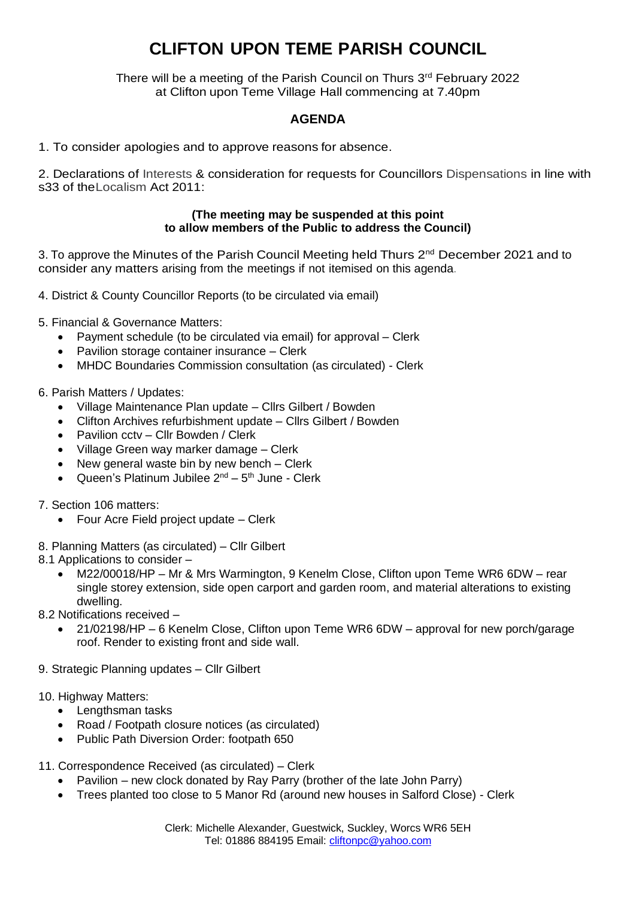## **CLIFTON UPON TEME PARISH COUNCIL**

There will be a meeting of the Parish Council on Thurs 3<sup>rd</sup> February 2022 at Clifton upon Teme Village Hall commencing at 7.40pm

## **AGENDA**

1. To consider apologies and to approve reasons for absence.

2. Declarations of Interests & consideration for requests for Councillors Dispensations in line with s33 of theLocalism Act 2011:

## **(The meeting may be suspended at this point to allow members of the Public to address the Council)**

3. To approve the Minutes of the Parish Council Meeting held Thurs 2<sup>nd</sup> December 2021 and to consider any matters arising from the meetings if not itemised on this agenda.

4. District & County Councillor Reports (to be circulated via email)

- 5. Financial & Governance Matters:
	- Payment schedule (to be circulated via email) for approval Clerk
	- Pavilion storage container insurance Clerk
	- MHDC Boundaries Commission consultation (as circulated) Clerk
- 6. Parish Matters / Updates:
	- Village Maintenance Plan update Cllrs Gilbert / Bowden
	- Clifton Archives refurbishment update Cllrs Gilbert / Bowden
	- Pavilion cctv Cllr Bowden / Clerk
	- Village Green way marker damage Clerk
	- New general waste bin by new bench Clerk
	- Queen's Platinum Jubilee 2<sup>nd</sup> 5<sup>th</sup> June Clerk
- 7. Section 106 matters:
	- Four Acre Field project update Clerk
- 8. Planning Matters (as circulated) Cllr Gilbert
- 8.1 Applications to consider
	- M22/00018/HP Mr & Mrs Warmington, 9 Kenelm Close, Clifton upon Teme WR6 6DW rear single storey extension, side open carport and garden room, and material alterations to existing dwelling.
- 8.2 Notifications received
	- 21/02198/HP 6 Kenelm Close, Clifton upon Teme WR6 6DW approval for new porch/garage roof. Render to existing front and side wall.
- 9. Strategic Planning updates Cllr Gilbert
- 10. Highway Matters:
	- Lengthsman tasks
	- Road / Footpath closure notices (as circulated)
	- Public Path Diversion Order: footpath 650
- 11. Correspondence Received (as circulated) Clerk
	- Pavilion new clock donated by Ray Parry (brother of the late John Parry)
	- Trees planted too close to 5 Manor Rd (around new houses in Salford Close) Clerk